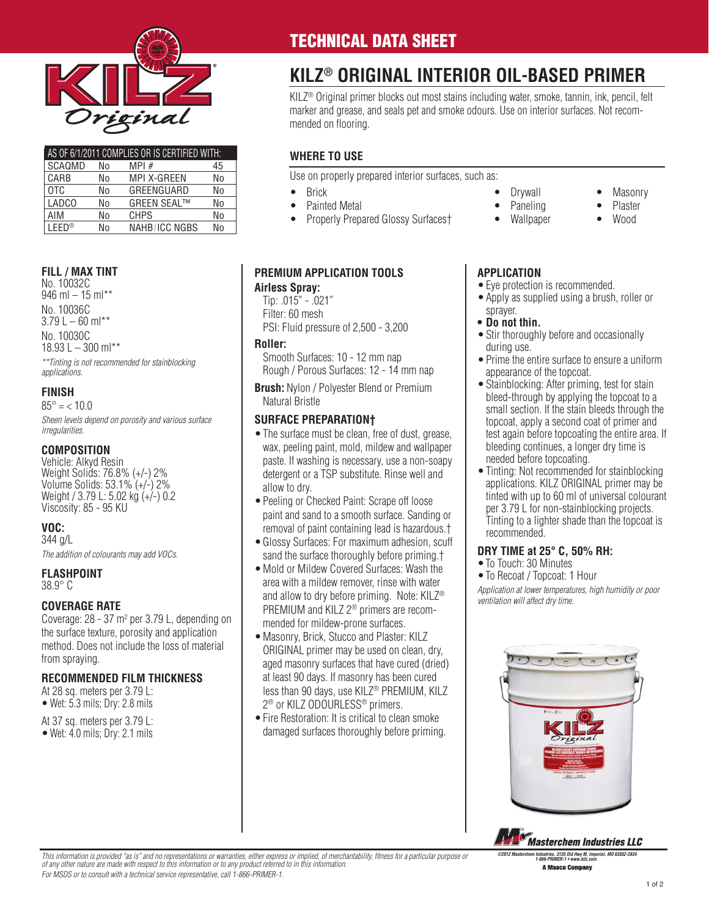

| AS OF 6/1/2011 COMPLIES OR IS CERTIFIED WITH: |    |                    |    |
|-----------------------------------------------|----|--------------------|----|
| SCAQMD                                        | No | $MPI \#$           | 45 |
| CARB                                          | No | MPI X-GREEN        | Nο |
| <b>OTC</b>                                    | No | GREENGUARD         | No |
| LADCO                                         | No | <b>GREEN SEAL™</b> | No |
| AIM                                           | No | <b>CHPS</b>        | No |
| I FFD®                                        | No | NAHB/ICC NGBS      | N٥ |

## **FILL / MAX TINT**

No. 10032C  $946$  ml  $- 15$  ml<sup>\*\*</sup> No. 10036C  $3.79 L - 60 m$ <sup>\*\*</sup> No. 10030C 18.93 L  $-$  300 ml<sup>\*\*</sup> *\*\*Tinting is not recommended for stainblocking applications.*

#### **FINISH**

 $85^{\circ} = 10.0$ 

*Sheen levels depend on porosity and various surface irregularities.*

#### **COMPOSITION**

Vehicle: Alkyd Resin Weight Solids: 76.8% (+/-) 2% Volume Solids: 53.1% (+/-) 2% Weight / 3.79 L: 5.02 kg (+/-) 0.2 Viscosity: 85 - 95 KU

## **VOC:**

344 g/L *The addition of colourants may add VOCs.*

**FLASHPOINT**

# 38.9° C

## **COVERAGE RATE**

Coverage:  $28 - 37$  m<sup>2</sup> per 3.79 L, depending on the surface texture, porosity and application method. Does not include the loss of material from spraying.

#### **RECOMMENDED FILM THICKNESS**

At 28 sq. meters per 3.79 L: • Wet: 5.3 mils; Dry: 2.8 mils

- At 37 sq. meters per 3.79 L:
- Wet: 4.0 mils; Dry: 2.1 mils

## TECHNICAL DATA SHEET

# **KILZ® ORIGINAL INTERIOR OIL-BASED PRIMER**

KILZ® Original primer blocks out most stains including water, smoke, tannin, ink, pencil, felt marker and grease, and seals pet and smoke odours. Use on interior surfaces. Not recommended on flooring.

## **WHERE TO USE**

Use on properly prepared interior surfaces, such as:

• Brick

**Airless Spray:** Tip: .015" - .021" Filter: 60 mesh

Natural Bristle

allow to dry.

**SURFACE PREPARATION†**

**Roller:**

• Painted Metal

**PREMIUM APPLICATION TOOLS**

PSI: Fluid pressure of 2,500 - 3,200

Smooth Surfaces: 10 - 12 mm nap Rough / Porous Surfaces: 12 - 14 mm nap **Brush:** Nylon / Polyester Blend or Premium

• The surface must be clean, free of dust, grease, wax, peeling paint, mold, mildew and wallpaper paste. If washing is necessary, use a non-soapy detergent or a TSP substitute. Rinse well and

• Peeling or Checked Paint: Scrape off loose paint and sand to a smooth surface. Sanding or removal of paint containing lead is hazardous.† • Glossy Surfaces: For maximum adhesion, scuff sand the surface thoroughly before priming.† • Mold or Mildew Covered Surfaces: Wash the area with a mildew remover, rinse with water and allow to dry before priming. Note: KILZ® PREMIUM and KILZ 2® primers are recommended for mildew-prone surfaces. • Masonry, Brick, Stucco and Plaster: KILZ ORIGINAL primer may be used on clean, dry, aged masonry surfaces that have cured (dried) at least 90 days. If masonry has been cured less than 90 days, use KILZ® PREMIUM, KILZ

2® or KILZ ODOURLESS® primers. • Fire Restoration: It is critical to clean smoke damaged surfaces thoroughly before priming.

- Properly Prepared Glossy Surfaces†
- Drywall
- 
- Paneling • Wallpaper
- **Masonry Plaster**
- 
- Wood

## **APPLICATION**

- Eye protection is recommended.
- Apply as supplied using a brush, roller or sprayer.
- **Do not thin.**
- Stir thoroughly before and occasionally during use.
- Prime the entire surface to ensure a uniform appearance of the topcoat.
- Stainblocking: After priming, test for stain bleed-through by applying the topcoat to a small section. If the stain bleeds through the topcoat, apply a second coat of primer and test again before topcoating the entire area. If bleeding continues, a longer dry time is needed before topcoating.
- Tinting: Not recommended for stainblocking applications. KILZ ORIGINAL primer may be tinted with up to 60 ml of universal colourant per 3.79 L for non-stainblocking projects. Tinting to a lighter shade than the topcoat is recommended.

#### **DRY TIME at 25° C, 50% RH:**

- To Touch: 30 Minutes
- To Recoat / Topcoat: 1 Hour

*Application at lower temperatures, high humidity or poor ventilation will affect dry time.*



#### **®** Masterchem Industries LLC *©2012 Masterchem Industries, 3135 Old Hwy M, Imperial, MO 63052-2834*  **1-866-PRIMER-1 • www.kilz.com**

**A Masco Company** 

This information is provided "as is" and no representations or warranties, either express or implied, of merchantability, fitness for a particular purpose or *of any other nature are made with respect to this information or to any product referred to in this information. For MSDS or to consult with a technical service representative, call 1-866-PRIMER-1.*